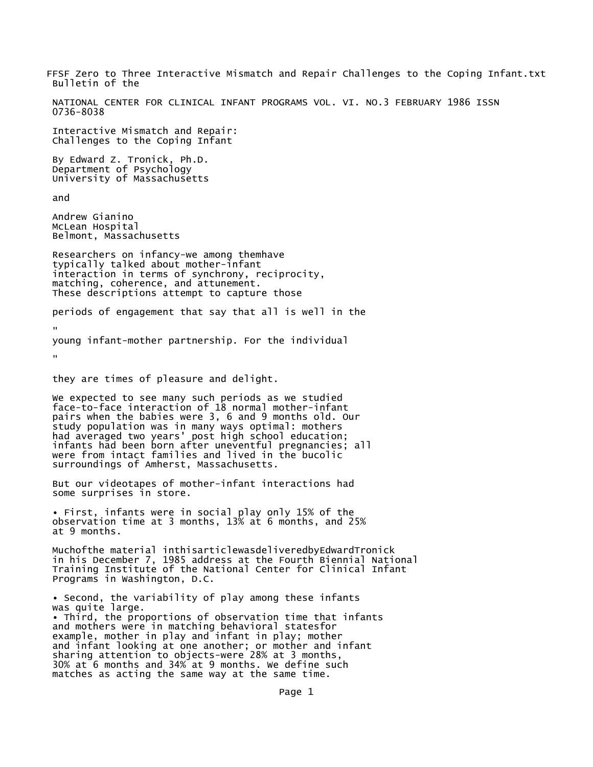FFSF Zero to Three Interactive Mismatch and Repair Challenges to the Coping Infant.txt Bulletin of the NATIONAL CENTER FOR CLINICAL INFANT PROGRAMS VOL. VI. NO.3 FEBRUARY 1986 ISSN 0736-8038 Interactive Mismatch and Repair: Challenges to the Coping Infant By Edward Z. Tronick, Ph.D. Department of Psychology University of Massachusetts and Andrew Gianino McLean Hospital Belmont, Massachusetts Researchers on infancy-we among themhave typically talked about mother-infant interaction in terms of synchrony, reciprocity, matching, coherence, and attunement. These descriptions attempt to capture those periods of engagement that say that all is well in the " young infant-mother partnership. For the individual " they are times of pleasure and delight. We expected to see many such periods as we studied face-to-face interaction of 18 normal mother-infant pairs when the babies were 3, 6 and 9 months old. Our study population was in many ways optimal: mothers had averaged two years' post high school education; infants had been born after uneventful pregnancies; all were from intact families and lived in the bucolic surroundings of Amherst, Massachusetts. But our videotapes of mother-infant interactions had some surprises in store. • First, infants were in social play only 15% of the observation time at 3 months, 13% at 6 months, and 25% at 9 months. Muchofthe material inthisarticlewasdeliveredbyEdwardTronick in his December 7, 1985 address at the Fourth Biennial National Training Institute of the National Center for Clinical Infant Programs in Washington, D.C. • Second, the variability of play among these infants was quite large. • Third, the proportions of observation time that infants and mothers were in matching behavioral statesfor example, mother in play and infant in play; mother and infant looking at one another; or mother and infant sharing attention to objects-were 28% at 3 months, 30% at 6 months and 34% at 9 months. We define such matches as acting the same way at the same time.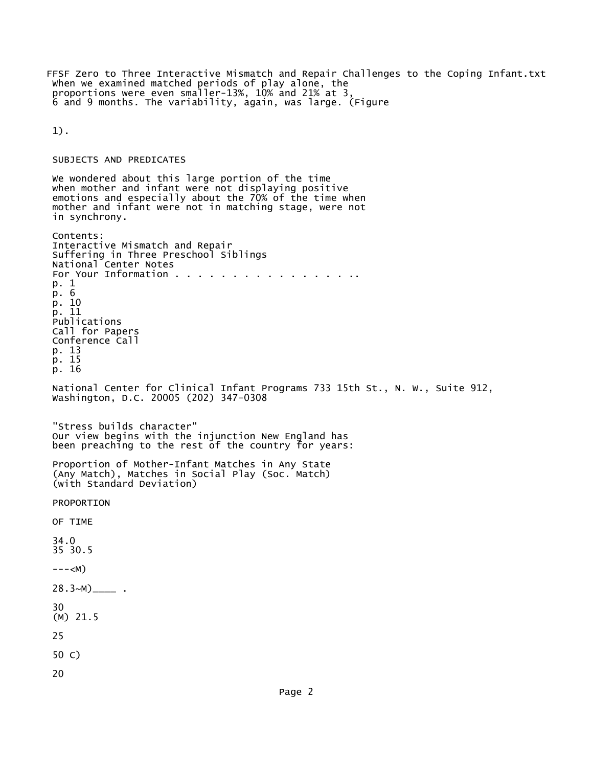FFSF Zero to Three Interactive Mismatch and Repair Challenges to the Coping Infant.txt When we examined matched periods of play alone, the proportions were even smaller-13%, 10% and 21% at 3, 6 and 9 months. The variability, again, was large. (Figure

1).

## SUBJECTS AND PREDICATES

We wondered about this large portion of the time when mother and infant were not displaying positive emotions and especially about the 70% of the time when mother and infant were not in matching stage, were not in synchrony. Contents: Interactive Mismatch and Repair Suffering in Three Preschool Siblings National Center Notes For Your Information . . . . . . . . . . . . . . . . . p. 1 p. 6 p. 10 p. 11 Publications Call for Papers Conference Call p. 13 p. 15 p. 16 National Center for Clinical Infant Programs 733 15th St., N. W., Suite 912, Washington, D.C. 20005 (202) 347-0308 "Stress builds character" Our view begins with the injunction New England has been preaching to the rest of the country for years: Proportion of Mother-Infant Matches in Any State (Any Match), Matches in Social Play (Soc. Match) (with Standard Deviation) PROPORTION OF TIME 34.0 35 30.5  $---)$  $28.3~M)$ <sub>\_\_\_\_</sub> . 30 (M) 21.5 25 50 C) 20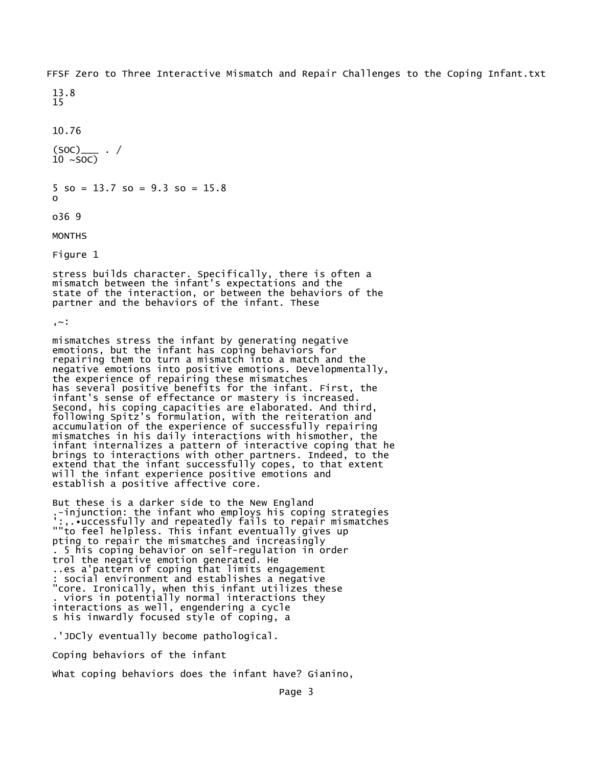FFSF Zero to Three Interactive Mismatch and Repair Challenges to the Coping Infant.txt

13.8 15

10.76

 $(SOC)_{--}$  . /  $10 \sim SOC$ 

 $5$  so = 13.7 so = 9.3 so = 15.8 o

o36 9

**MONTHS** 

Figure 1

stress builds character. Specifically, there is often a mismatch between the infant's expectations and the state of the interaction, or between the behaviors of the partner and the behaviors of the infant. These

,~:

mismatches stress the infant by generating negative emotions, but the infant has coping behaviors for repairing them to turn a mismatch into a match and the negative emotions into positive emotions. Developmentally, the experience of repairing these mismatches has several positive benefits for the infant. First, the infant's sense of effectance or mastery is increased. Second, his coping capacities are elaborated. And third, following Spitz's formulation, with the reiteration and accumulation of the experience of successfully repairing mismatches in his daily interactions with hismother, the infant internalizes a pattern of interactive coping that he brings to interactions with other partners. Indeed, to the extend that the infant successfully copes, to that extent will the infant experience positive emotions and establish a positive affective core.

But these is a darker side to the New England .-injunction: the infant who employs his coping strategies ':,.•uccessfully and repeatedly fails to repair mismatches ""to feel helpless. This infant eventually gives up pting to repair the mismatches and increasingly . 5 his coping behavior on self-regulation in order trol the negative emotion generated. He ..es a'pattern of coping that limits engagement : social environment and establishes a negative "core. Ironically, when this infant utilizes these . viors in potentially normal interactions they interactions as well, engendering a cycle s his inwardly focused style of coping, a

.'JDCly eventually become pathological.

Coping behaviors of the infant

What coping behaviors does the infant have? Gianino,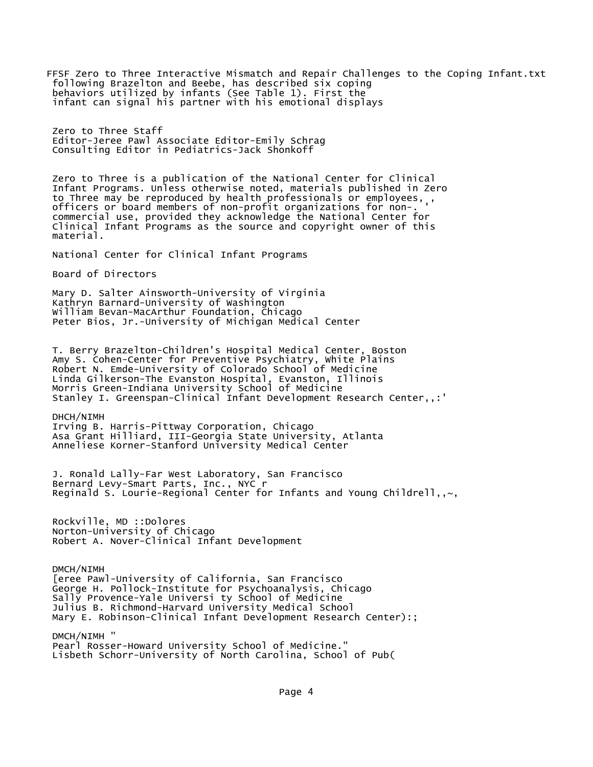FFSF Zero to Three Interactive Mismatch and Repair Challenges to the Coping Infant.txt following Brazelton and Beebe, has described six coping behaviors utilized by infants (See Table 1). First the infant can signal his partner with his emotional displays Zero to Three Staff Editor-Jeree Pawl Associate Editor-Emily Schrag Consulting Editor in Pediatrics-Jack Shonkoff Zero to Three is a publication of the National Center for Clinical Infant Programs. Unless otherwise noted, materials published in Zero to Three may be reproduced by health professionals or employees, , officers or board members of non-profit organizations for non-. ' commercial use, provided they acknowledge the National Center for Clinical Infant Programs as the source and copyright owner of this material. National Center for Clinical Infant Programs Board of Directors Mary D. Salter Ainsworth-University of Virginia Kathryn Barnard-University of Washington William Bevan-MacArthur Foundation, Chicago Peter Bios, Jr.-University of Michigan Medical Center T. Berry Brazelton-Children's Hospital Medical Center, Boston Amy S. Cohen-Center for Preventive Psychiatry, White Plains Robert N. Emde-University of Colorado School of Medicine Linda Gilkerson-The Evanston Hospital, Evanston, Illinois Morris Green-Indiana University School of Medicine Stanley I. Greenspan-Clinical Infant Development Research Center,,:' DHCH/NIMH Irving B. Harris-Pittway Corporation, Chicago Asa Grant Hilliard, III-Georgia State University, Atlanta Anneliese Korner-Stanford University Medical Center J. Ronald Lally-Far West Laboratory, San Francisco Bernard Levy-Smart Parts, Inc., NYC r Reginald S. Lourie-Regional Center for Infants and Young Childrell,, $\sim$ , Rockville, MD ::Dolores Norton-University of Chicago Robert A. Nover-Clinical Infant Development DMCH/NIMH [eree Pawl-University of California, San Francisco George H. Pollock-Institute for Psychoanalysis, Chicago Sally Provence-Yale Universi ty School of Medicine Julius B. Richmond-Harvard University Medical School Mary E. Robinson-Clinical Infant Development Research Center):; DMCH/NIMH " Pearl Rosser-Howard University School of Medicine."

Lisbeth Schorr-University of North Carolina, School of Pub(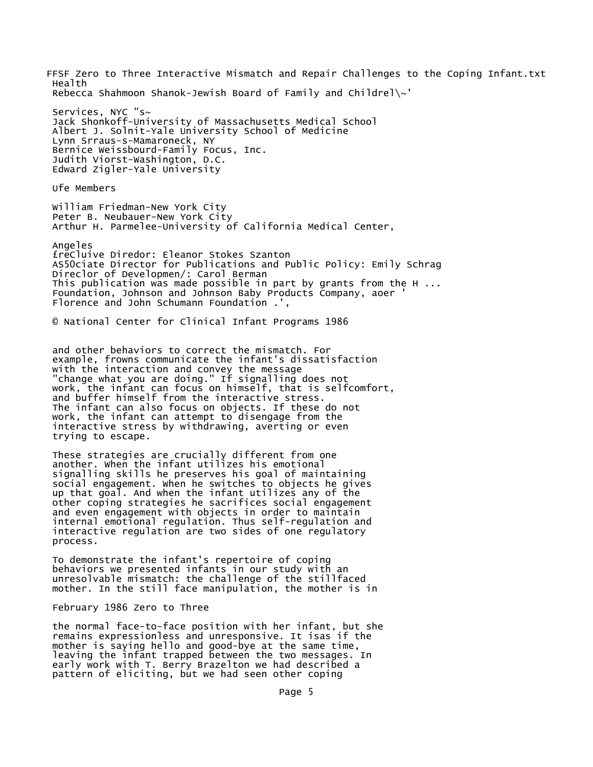FFSF Zero to Three Interactive Mismatch and Repair Challenges to the Coping Infant.txt Health Rebecca Shahmoon Shanok-Jewish Board of Family and Childrel\~'

Services, NYC "s~ Jack Shonkoff-University of Massachusetts Medical School Albert J. Solnit-Yale University School of Medicine Lynn Srraus-s-Mamaroneck, NY Bernice Weissbourd-Family Focus, Inc. Judith Viorst-Washington, D.C. Edward Zigler-Yale University

Ufe Members

William Friedman-New York City Peter B. Neubauer-New York City Arthur H. Parmelee-University of California Medical Center,

Angeles £reCluive Diredor: Eleanor Stokes Szanton AS50ciate Director for Publications and Public Policy: Emily Schrag Direclor of Developmen/: Carol Berman This publication was made possible in part by grants from the H ... Foundation, Johnson and Johnson Baby Products Company, aoer ' Florence and John Schumann Foundation .'

© National Center for Clinical Infant Programs 1986

and other behaviors to correct the mismatch. For example, frowns communicate the infant's dissatisfaction with the interaction and convey the message "change what you are doing." If signalling does not work, the infant can focus on himself, that is selfcomfort, and buffer himself from the interactive stress. The infant can also focus on objects. If these do not work, the infant can attempt to disengage from the interactive stress by withdrawing, averting or even trying to escape.

These strategies are crucially different from one another. When the infant utilizes his emotional signalling skills he preserves his goal of maintaining social engagement. When he switches to objects he gives up that goal. And when the infant utilizes any of the other coping strategies he sacrifices social engagement and even engagement with objects in order to maintain internal emotional regulation. Thus self-regulation and interactive regulation are two sides of one regulatory process.

To demonstrate the infant's repertoire of coping behaviors we presented infants in our study with an unresolvable mismatch: the challenge of the stillfaced mother. In the still face manipulation, the mother is in

## February 1986 Zero to Three

the normal face-to-face position with her infant, but she remains expressionless and unresponsive. It isas if the mother is saying hello and good-bye at the same time, leaving the infant trapped between the two messages. In early work with T. Berry Brazelton we had described a pattern of eliciting, but we had seen other coping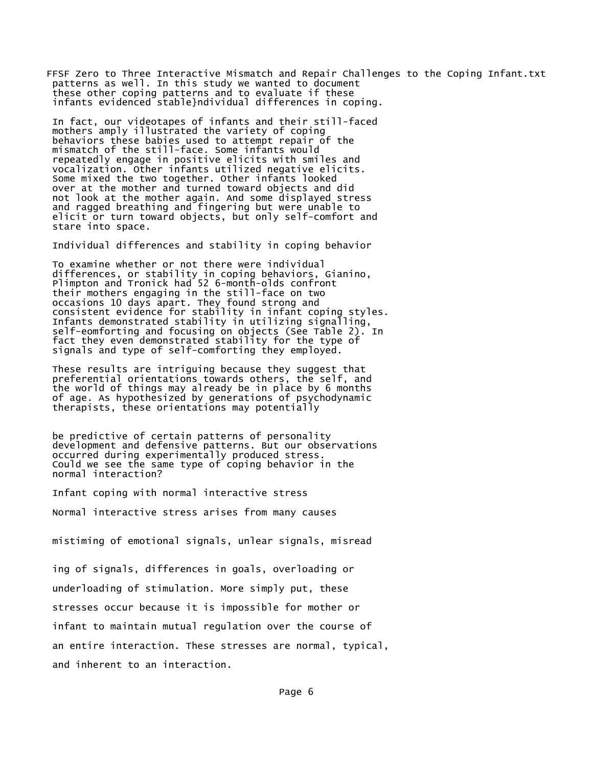FFSF Zero to Three Interactive Mismatch and Repair Challenges to the Coping Infant.txt patterns as well. In this study we wanted to document these other coping patterns and to evaluate if these infants evidenced stable}ndividual differences in coping.

In fact, our videotapes of infants and their still-faced mothers amply illustrated the variety of coping behaviors these babies used to attempt repair of the mismatch of the still-face. Some infants would repeatedly engage in positive elicits with smiles and vocalization. Other infants utilized negative elicits. Some mixed the two together. Other infants looked over at the mother and turned toward objects and did not look at the mother again. And some displayed stress and ragged breathing and fingering but were unable to elicit or turn toward objects, but only self-comfort and stare into space.

Individual differences and stability in coping behavior

To examine whether or not there were individual differences, or stability in coping behaviors, Gianino, Plimpton and Tronick had 52 6-month-olds confront their mothers engaging in the still-face on two occasions 10 days apart. They found strong and consistent evidence for stability in infant coping styles. Infants demonstrated stability in utilizing signalling, self-eomforting and focusing on objects (See Table 2). In fact they even demonstrated stability for the type of signals and type of self-comforting they employed.

These results are intriguing because they suggest that preferential orientations towards others, the self, and the world of things may already be in place by 6 months of age. As hypothesized by generations of psychodynamic therapists, these orientations may potentially

be predictive of certain patterns of personality development and defensive patterns. But our observations occurred during experimentally produced stress. Could we see the same type of coping behavior in the normal interaction?

Infant coping with normal interactive stress

Normal interactive stress arises from many causes

mistiming of emotional signals, unlear signals, misread

ing of signals, differences in goals, overloading or underloading of stimulation. More simply put, these stresses occur because it is impossible for mother or infant to maintain mutual regulation over the course of an entire interaction. These stresses are normal, typical, and inherent to an interaction.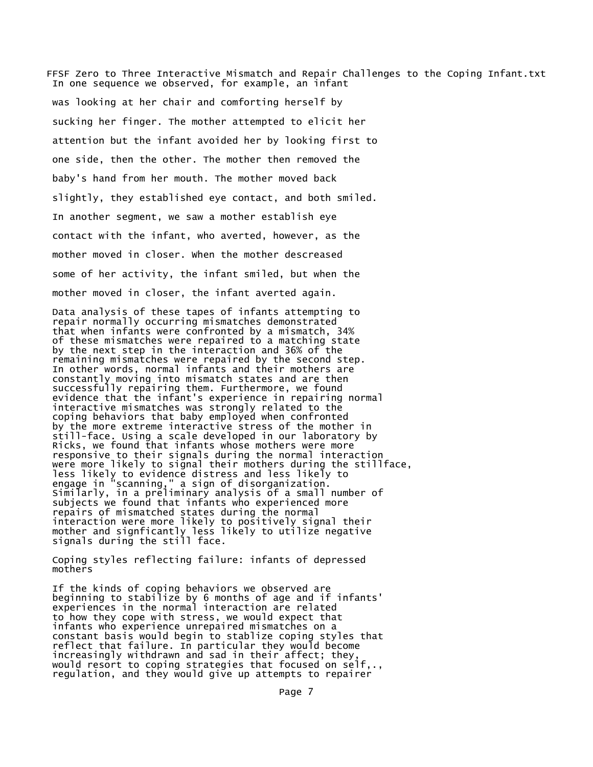FFSF Zero to Three Interactive Mismatch and Repair Challenges to the Coping Infant.txt In one sequence we observed, for example, an infant

was looking at her chair and comforting herself by sucking her finger. The mother attempted to elicit her attention but the infant avoided her by looking first to one side, then the other. The mother then removed the baby's hand from her mouth. The mother moved back slightly, they established eye contact, and both smiled. In another segment, we saw a mother establish eye contact with the infant, who averted, however, as the mother moved in closer. When the mother descreased some of her activity, the infant smiled, but when the mother moved in closer, the infant averted again.

Data analysis of these tapes of infants attempting to repair normally occurring mismatches demonstrated that when infants were confronted by a mismatch, 34% of these mismatches were repaired to a matching state by the next step in the interaction and 36% of the remaining mismatches were repaired by the second step. In other words, normal infants and their mothers are constantly moving into mismatch states and are then successfully repairing them. Furthermore, we found evidence that the infant's experience in repairing normal interactive mismatches was strongly related to the coping behaviors that baby employed when confronted by the more extreme interactive stress of the mother in still-face. Using a scale developed in our laboratory by Ricks, we found that infants whose mothers were more responsive to their signals during the normal interaction were more likely to signal their mothers during the stillface, less likely to evidence distress and less likely to engage in "scanning," a sign of disorganization. Similarly, in a preliminary analysis of a small number of subjects we found that infants who experienced more repairs of mismatched states during the normal interaction were more likely to positively signal their mother and signficantly less likely to utilize negative signals during the still face.

Coping styles reflecting failure: infants of depressed mothers

If the kinds of coping behaviors we observed are beginning to stabilize by 6 months of age and if infants' experiences in the normal interaction are related to how they cope with stress, we would expect that infants who experience unrepaired mismatches on a constant basis would begin to stablize coping styles that reflect that failure. In particular they would become increasingly withdrawn and sad in their affect; they, would resort to coping strategies that focused on self,., regulation, and they would give up attempts to repairer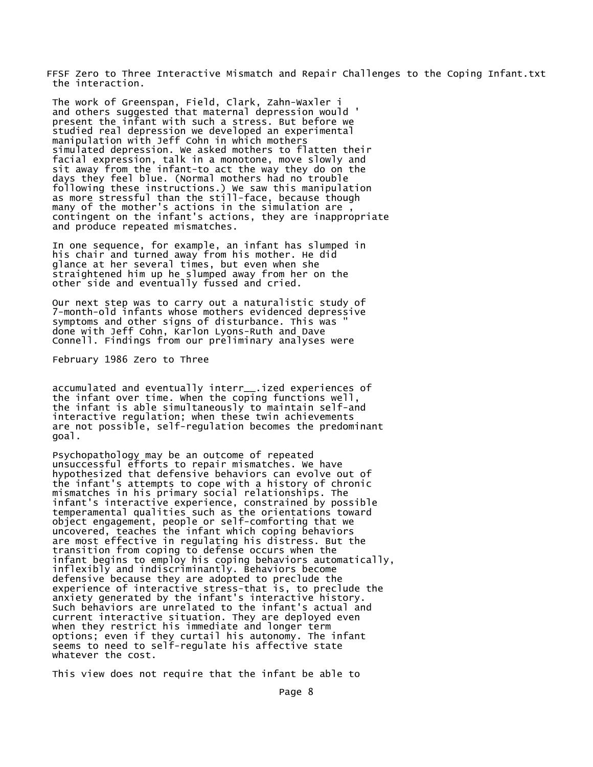FFSF Zero to Three Interactive Mismatch and Repair Challenges to the Coping Infant.txt the interaction.

The work of Greenspan, Field, Clark, Zahn-Waxler i and others suggested that maternal depression would ' present the infant with such a stress. But before we studied real depression we developed an experimental manipulation with Jeff Cohn in which mothers simulated depression. We asked mothers to flatten their facial expression, talk in a monotone, move slowly and sit away from the infant-to act the way they do on the days they feel blue. (Normal mothers had no trouble following these instructions.) We saw this manipulation as more stressful than the still-face, because though many of the mother's actions in the simulation are, contingent on the infant's actions, they are inappropriate and produce repeated mismatches.

In one sequence, for example, an infant has slumped in his chair and turned away from his mother. He did glance at her several times, but even when she straightened him up he slumped away from her on the other side and eventually fussed and cried.

Our next step was to carry out a naturalistic study of 7-month-old infants whose mothers evidenced depressive symptoms and other signs of disturbance. This was " done with Jeff Cohn, Karlon Lyons-Ruth and Dave Connell. Findings from our preliminary analyses were

February 1986 Zero to Three

accumulated and eventually interr\_\_.ized experiences of the infant over time. When the coping functions well, the infant is able simultaneously to maintain self-and interactive regulation; when these twin achievements are not possible, self-regulation becomes the predominant goal.

Psychopathology may be an outcome of repeated unsuccessful efforts to repair mismatches. We have hypothesized that defensive behaviors can evolve out of the infant's attempts to cope with a history of chronic mismatches in his primary social relationships. The infant's interactive experience, constrained by possible temperamental qualities such as the orientations toward object engagement, people or self-comforting that we uncovered, teaches the infant which coping behaviors are most effective in regulating his distress. But the transition from coping to defense occurs when the infant begins to employ his coping behaviors automatically, inflexibly and indiscriminantly. Behaviors become defensive because they are adopted to preclude the experience of interactive stress-that is, to preclude the anxiety generated by the infant's interactive history. Such behaviors are unrelated to the infant's actual and current interactive situation. They are deployed even when they restrict his immediate and longer term options; even if they curtail his autonomy. The infant seems to need to self-regulate his affective state whatever the cost.

This view does not require that the infant be able to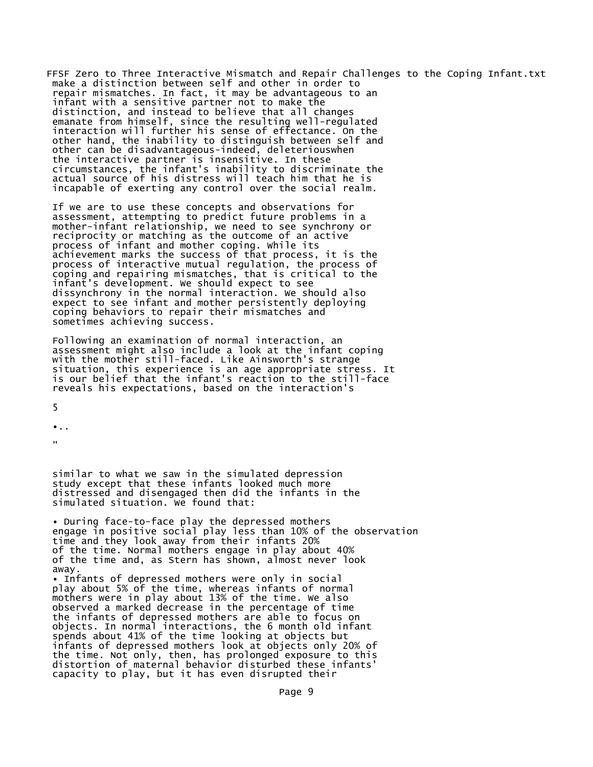FFSF Zero to Three Interactive Mismatch and Repair Challenges to the Coping Infant.txt make a distinction between self and other in order to repair mismatches. In fact, it may be advantageous to an infant with a sensitive partner not to make the distinction, and instead to believe that all changes emanate from himself, since the resulting well-regulated interaction will further his sense of effectance. On the other hand, the inability to distinguish between self and other can be disadvantageous-indeed, deleteriouswhen the interactive partner is insensitive. In these circumstances, the infant's inability to discriminate the actual source of his distress will teach him that he is incapable of exerting any control over the social realm.

If we are to use these concepts and observations for assessment, attempting to predict future problems in a mother-infant relationship, we need to see synchrony or reciprocity or matching as the outcome of an active process of infant and mother coping. While its achievement marks the success of that process, it is the process of interactive mutual regulation, the process of coping and repairing mismatches, that is critical to the infant's development. We should expect to see dissynchrony in the normal interaction. We should also expect to see infant and mother persistently deploying coping behaviors to repair their mismatches and sometimes achieving success.

Following an examination of normal interaction, an assessment might also include a look at the infant coping with the mother still-faced. Like Ainsworth's strange situation, this experience is an age appropriate stress. It is our belief that the infant's reaction to the still-face reveals his expectations, based on the interaction's

5

•..

"

similar to what we saw in the simulated depression study except that these infants looked much more distressed and disengaged then did the infants in the simulated situation. We found that:

• During face-to-face play the depressed mothers engage in positive social play less than 10% of the observation time and they look away from their infants 20% of the time. Normal mothers engage in play about 40% of the time and, as Stern has shown, almost never look away.

• Infants of depressed mothers were only in social play about 5% of the time, whereas infants of normal mothers were in play about 13% of the time. We also observed a marked decrease in the percentage of time the infants of depressed mothers are able to focus on objects. In normal interactions, the 6 month old infant spends about 41% of the time looking at objects but infants of depressed mothers look at objects only 20% of the time. Not only, then, has prolonged exposure to this distortion of maternal behavior disturbed these infants' capacity to play, but it has even disrupted their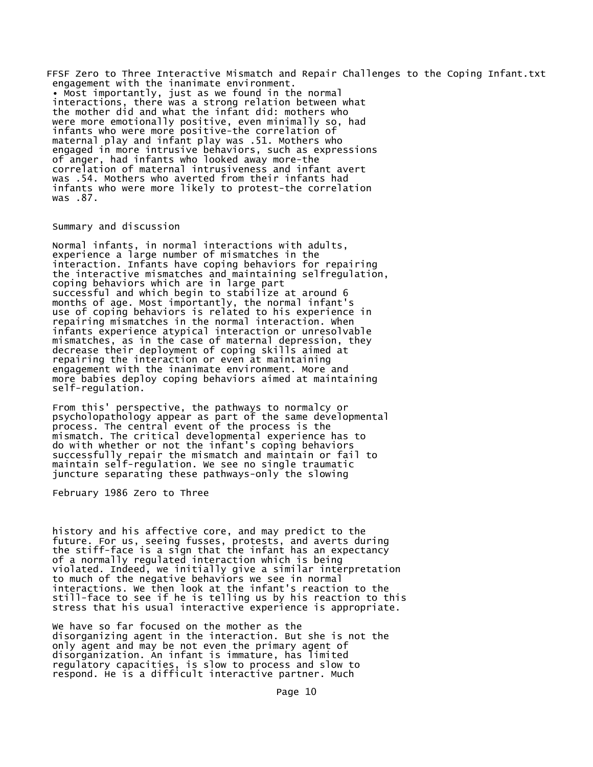FFSF Zero to Three Interactive Mismatch and Repair Challenges to the Coping Infant.txt engagement with the inanimate environment. • Most importantly, just as we found in the normal interactions, there was a strong relation between what the mother did and what the infant did: mothers who were more emotionally positive, even minimally so, had infants who were more positive-the correlation of maternal play and infant play was .51. Mothers who engaged in more intrusive behaviors, such as expressions of anger, had infants who looked away more-the correlation of maternal intrusiveness and infant avert was .54. Mothers who averted from their infants had infants who were more likely to protest-the correlation was .87.

## Summary and discussion

Normal infants, in normal interactions with adults, experience a large number of mismatches in the interaction. Infants have coping behaviors for repairing the interactive mismatches and maintaining selfregulation, coping behaviors which are in large part successful and which begin to stabilize at around 6 months of age. Most importantly, the normal infant's use of coping behaviors is related to his experience in repairing mismatches in the normal interaction. When infants experience atypical interaction or unresolvable mismatches, as in the case of maternal depression, they decrease their deployment of coping skills aimed at repairing the interaction or even at maintaining engagement with the inanimate environment. More and more babies deploy coping behaviors aimed at maintaining self-regulation.

From this' perspective, the pathways to normalcy or psycholopathology appear as part of the same developmental process. The central event of the process is the mismatch. The critical developmental experience has to do with whether or not the infant's coping behaviors successfully repair the mismatch and maintain or fail to maintain self-regulation. We see no single traumatic juncture separating these pathways-only the slowing

February 1986 Zero to Three

history and his affective core, and may predict to the future. For us, seeing fusses, protests, and averts during the stiff-face is a sign that the infant has an expectancy of a normally regulated interaction which is being violated. Indeed, we initially give a similar interpretation to much of the negative behaviors we see in normal interactions. We then look at the infant's reaction to the still-face to see if he is telling us by his reaction to this stress that his usual interactive experience is appropriate.

We have so far focused on the mother as the disorganizing agent in the interaction. But she is not the only agent and may be not even the primary agent of disorganization. An infant is immature, has limited regulatory capacities, is slow to process and slow to respond. He is a difficult interactive partner. Much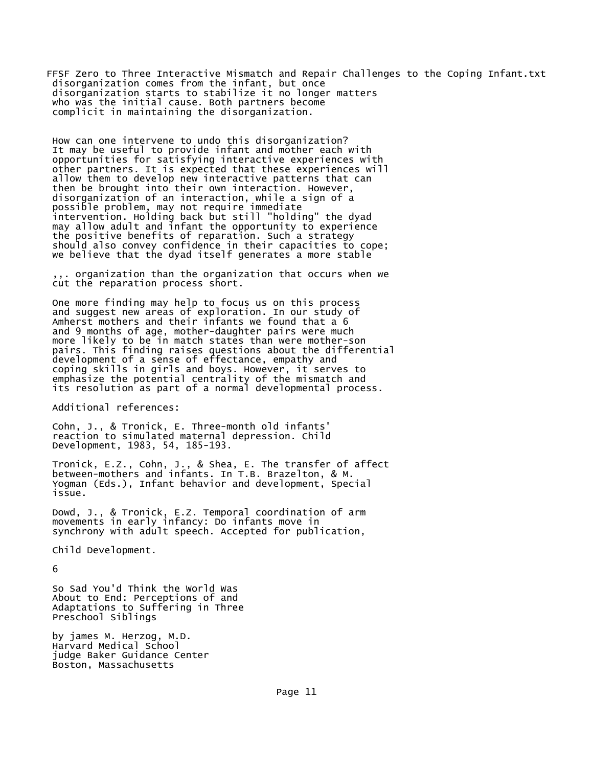FFSF Zero to Three Interactive Mismatch and Repair Challenges to the Coping Infant.txt disorganization comes from the infant, but once disorganization starts to stabilize it no longer matters who was the initial cause. Both partners become complicit in maintaining the disorganization.

How can one intervene to undo this disorganization? It may be useful to provide infant and mother each with opportunities for satisfying interactive experiences with other partners. It is expected that these experiences will allow them to develop new interactive patterns that can then be brought into their own interaction. However, disorganization of an interaction, while a sign of a possible problem, may not require immediate intervention. Holding back but still "holding" the dyad may allow adult and infant the opportunity to experience the positive benefits of reparation. Such a strategy should also convey confidence in their capacities to cope; we believe that the dyad itself generates a more stable

,,. organization than the organization that occurs when we cut the reparation process short.

One more finding may help to focus us on this process and suggest new areas of exploration. In our study of Amherst mothers and their infants we found that a 6 and 9 months of age, mother-daughter pairs were much more likely to be in match states than were mother-son pairs. This finding raises questions about the differential development of a sense of effectance, empathy and coping skills in girls and boys. However, it serves to emphasize the potential centrality of the mismatch and its resolution as part of a normal developmental process.

Additional references:

Cohn, J., & Tronick, E. Three-month old infants' reaction to simulated maternal depression. Child Development, 1983, 54, 185-193.

Tronick, E.Z., Cohn, J., & Shea, E. The transfer of affect between-mothers and infants. In T.B. Brazelton, & M. Yogman (Eds.), Infant behavior and development, Special issue.

Dowd, J., & Tronick, E.Z. Temporal coordination of arm movements in early infancy: Do infants move in synchrony with adult speech. Accepted for publication,

Child Development.

6

So Sad You'd Think the World Was About to End: Perceptions of and Adaptations to Suffering in Three Preschool Siblings

by james M. Herzog, M.D. Harvard Medical School judge Baker Guidance Center Boston, Massachusetts